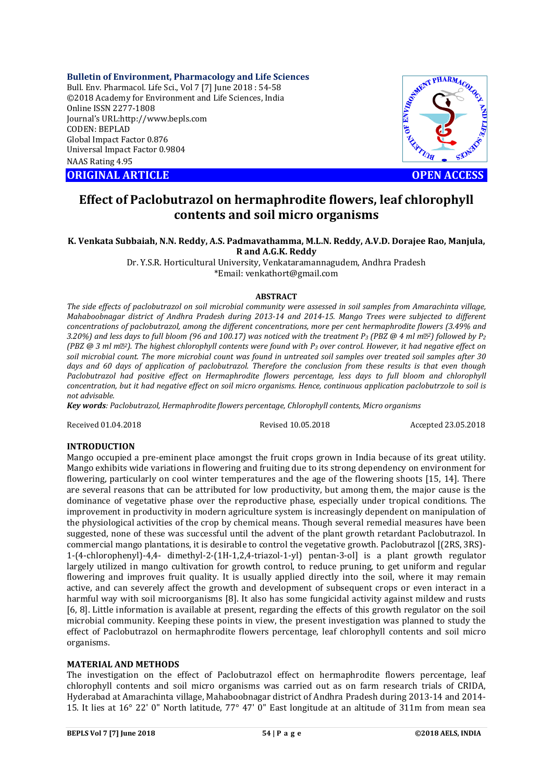**Bulletin of Environment, Pharmacology and Life Sciences**

Bull. Env. Pharmacol. Life Sci., Vol 7 [7] June 2018 : 54-58 ©2018 Academy for Environment and Life Sciences, India Online ISSN 2277-1808 Journal's URL:http://www.bepls.com CODEN: BEPLAD Global Impact Factor 0.876 Universal Impact Factor 0.9804 NAAS Rating 4.95 CONTRACT CONSISTENT OF ENVIRONMENT ARTICLE **CONTRACT ARTICLE** 



# **Effect of Paclobutrazol on hermaphrodite flowers, leaf chlorophyll contents and soil micro organisms**

### **K. Venkata Subbaiah, N.N. Reddy, A.S. Padmavathamma, M.L.N. Reddy, A.V.D. Dorajee Rao, Manjula, R and A.G.K. Reddy**

Dr. Y.S.R. Horticultural University, Venkataramannagudem, Andhra Pradesh \*Email: venkathort@gmail.com

### **ABSTRACT**

*The side effects of paclobutrazol on soil microbial community were assessed in soil samples from Amarachinta village, Mahaboobnagar district of Andhra Pradesh during 2013-14 and 2014-15. Mango Trees were subjected to different concentrations of paclobutrazol, among the different concentrations, more per cent hermaphrodite flowers (3.49% and 3.20%) and less days to full bloom (96 and 100.17) was noticed with the treatment P3 (PBZ @ 4 ml m2) followed by P2 (PBZ @ 3 ml m2). The highest chlorophyll contents were found with P3 over control. However, it had negative effect on soil microbial count. The more microbial count was found in untreated soil samples over treated soil samples after 30*  days and 60 days of application of paclobutrazol. Therefore the conclusion from these results is that even though *Paclobutrazol had positive effect on Hermaphrodite flowers percentage, less days to full bloom and chlorophyll concentration, but it had negative effect on soil micro organisms. Hence, continuous application paclobutrzole to soil is not advisable.*

*Key words: Paclobutrazol, Hermaphrodite flowers percentage, Chlorophyll contents, Micro organisms*

Received 01.04.2018 Revised 10.05.2018 Accepted 23.05.2018

# **INTRODUCTION**

Mango occupied a pre-eminent place amongst the fruit crops grown in India because of its great utility. Mango exhibits wide variations in flowering and fruiting due to its strong dependency on environment for flowering, particularly on cool winter temperatures and the age of the flowering shoots [15, 14]. There are several reasons that can be attributed for low productivity, but among them, the major cause is the dominance of vegetative phase over the reproductive phase, especially under tropical conditions. The improvement in productivity in modern agriculture system is increasingly dependent on manipulation of the physiological activities of the crop by chemical means. Though several remedial measures have been suggested, none of these was successful until the advent of the plant growth retardant Paclobutrazol. In commercial mango plantations, it is desirable to control the vegetative growth. Paclobutrazol [(2RS, 3RS)- 1-(4-chlorophenyl)-4,4- dimethyl-2-(1H-1,2,4-triazol-1-yl) pentan-3-ol] is a plant growth regulator largely utilized in mango cultivation for growth control, to reduce pruning, to get uniform and regular flowering and improves fruit quality. It is usually applied directly into the soil, where it may remain active, and can severely affect the growth and development of subsequent crops or even interact in a harmful way with soil microorganisms [8]. It also has some fungicidal activity against mildew and rusts [6, 8]. Little information is available at present, regarding the effects of this growth regulator on the soil microbial community. Keeping these points in view, the present investigation was planned to study the effect of Paclobutrazol on hermaphrodite flowers percentage, leaf chlorophyll contents and soil micro organisms.

### **MATERIAL AND METHODS**

The investigation on the effect of Paclobutrazol effect on hermaphrodite flowers percentage, leaf chlorophyll contents and soil micro organisms was carried out as on farm research trials of CRIDA, Hyderabad at Amarachinta village, Mahaboobnagar district of Andhra Pradesh during 2013-14 and 2014- 15. It lies at 16° 22' 0" North latitude, 77° 47' 0" East longitude at an altitude of 311m from mean sea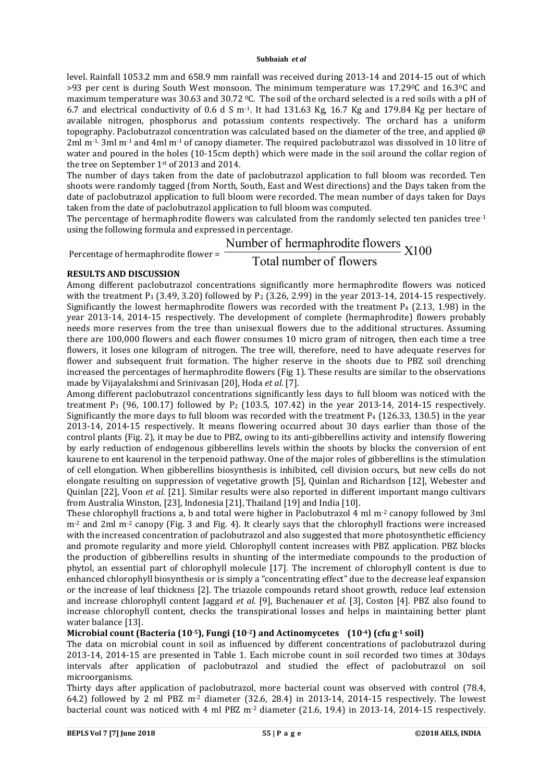level. Rainfall 1053.2 mm and 658.9 mm rainfall was received during 2013-14 and 2014-15 out of which >93 per cent is during South West monsoon. The minimum temperature was 17.290C and 16.30C and maximum temperature was 30.63 and 30.72 0C. The soil of the orchard selected is a red soils with a pH of 6.7 and electrical conductivity of 0.6 d S m-1. It had 131.63 Kg, 16.7 Kg and 179.84 Kg per hectare of available nitrogen, phosphorus and potassium contents respectively. The orchard has a uniform topography. Paclobutrazol concentration was calculated based on the diameter of the tree, and applied @ 2ml m<sup>-1</sup>, 3ml m<sup>-1</sup> and 4ml m<sup>-1</sup> of canopy diameter. The required paclobutrazol was dissolved in 10 litre of water and poured in the holes (10-15cm depth) which were made in the soil around the collar region of the tree on September 1st of 2013 and 2014.

The number of days taken from the date of paclobutrazol application to full bloom was recorded. Ten shoots were randomly tagged (from North, South, East and West directions) and the Days taken from the date of paclobutrazol application to full bloom were recorded. The mean number of days taken for Days taken from the date of paclobutrazol application to full bloom was computed.

The percentage of hermaphrodite flowers was calculated from the randomly selected ten panicles tree<sup>-1</sup> using the following formula and expressed in percentage.

# Percentage of hermaphrodite flower =  $\frac{\text{Number of hermaphrodite flowers}}{\text{Total Area of the brmaphrodite}}$  X100 Total number of flowers

# **RESULTS AND DISCUSSION**

Among different paclobutrazol concentrations significantly more hermaphrodite flowers was noticed with the treatment P<sub>3</sub> (3.49, 3.20) followed by P<sub>2</sub> (3.26, 2.99) in the year 2013-14, 2014-15 respectively. Significantly the lowest hermaphrodite flowers was recorded with the treatment  $P_4$  (2.13, 1.98) in the year 2013-14, 2014-15 respectively. The development of complete (hermaphrodite) flowers probably needs more reserves from the tree than unisexual flowers due to the additional structures. Assuming there are 100,000 flowers and each flower consumes 10 micro gram of nitrogen, then each time a tree flowers, it loses one kilogram of nitrogen. The tree will, therefore, need to have adequate reserves for flower and subsequent fruit formation. The higher reserve in the shoots due to PBZ soil drenching increased the percentages of hermaphrodite flowers (Fig 1). These results are similar to the observations made by Vijayalakshmi and Srinivasan [20], Hoda *et al*. [7].

Among different paclobutrazol concentrations significantly less days to full bloom was noticed with the treatment P<sub>3</sub> (96, 100.17) followed by P<sub>2</sub> (103.5, 107.42) in the year 2013-14, 2014-15 respectively. Significantly the more days to full bloom was recorded with the treatment  $P_4$  (126.33, 130.5) in the year 2013-14, 2014-15 respectively. It means flowering occurred about 30 days earlier than those of the control plants (Fig. 2), it may be due to PBZ, owing to its anti-gibberellins activity and intensify flowering by early reduction of endogenous gibberellins levels within the shoots by blocks the conversion of ent kaurene to ent kaurenol in the terpenoid pathway. One of the major roles of gibberellins is the stimulation of cell elongation. When gibberellins biosynthesis is inhibited, cell division occurs, but new cells do not elongate resulting on suppression of vegetative growth [5], Quinlan and Richardson [12], Webester and Quinlan [22], Voon *et al.* [21]. Similar results were also reported in different important mango cultivars from Australia Winston, [23], Indonesia [21], Thailand [19] and India [10].

These chlorophyll fractions a, b and total were higher in Paclobutrazol 4 ml m-2 canopy followed by 3ml m<sup>-2</sup> and 2ml m<sup>-2</sup> canopy (Fig. 3 and Fig. 4). It clearly says that the chlorophyll fractions were increased with the increased concentration of paclobutrazol and also suggested that more photosynthetic efficiency and promote regularity and more yield. Chlorophyll content increases with PBZ application. PBZ blocks the production of gibberellins results in shunting of the intermediate compounds to the production of phytol, an essential part of chlorophyll molecule [17]. The increment of chlorophyll content is due to enhanced chlorophyll biosynthesis or is simply a "concentrating effect" due to the decrease leaf expansion or the increase of leaf thickness [2]. The triazole compounds retard shoot growth, reduce leaf extension and increase chlorophyll content Jaggard *et al.* [9], Buchenauer *et al.* [3], Coston [4]. PBZ also found to increase chlorophyll content, checks the transpirational losses and helps in maintaining better plant water balance [13].

# **Microbial count (Bacteria (10-5), Fungi (10-2) and Actinomycetes (10-4) (cfu g-1 soil)**

The data on microbial count in soil as influenced by different concentrations of paclobutrazol during 2013-14, 2014-15 are presented in Table 1. Each microbe count in soil recorded two times at 30days intervals after application of paclobutrazol and studied the effect of paclobutrazol on soil microorganisms.

Thirty days after application of paclobutrazol, more bacterial count was observed with control (78.4, 64.2) followed by 2 ml PBZ  $m<sup>2</sup>$  diameter (32.6, 28.4) in 2013-14, 2014-15 respectively. The lowest bacterial count was noticed with 4 ml PBZ m-2 diameter (21.6, 19.4) in 2013-14, 2014-15 respectively.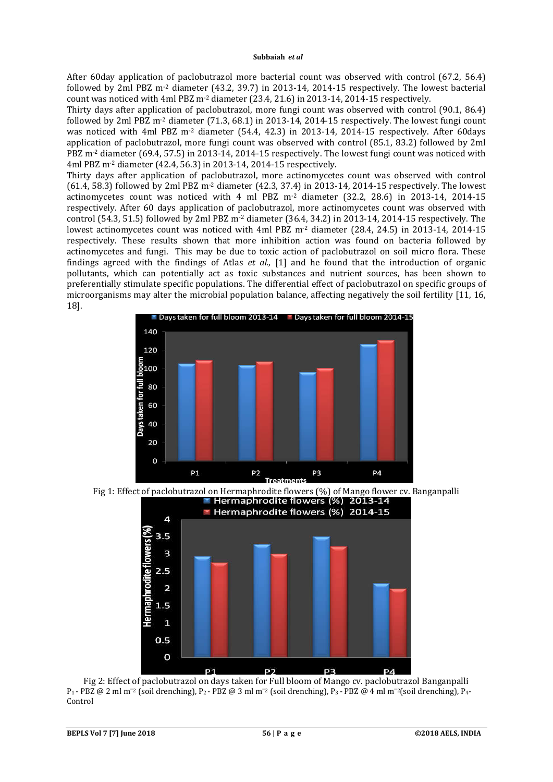After 60day application of paclobutrazol more bacterial count was observed with control (67.2, 56.4) followed by 2ml PBZ m-2 diameter (43.2, 39.7) in 2013-14, 2014-15 respectively. The lowest bacterial count was noticed with 4ml PBZ m-2 diameter (23.4, 21.6) in 2013-14, 2014-15 respectively.

Thirty days after application of paclobutrazol, more fungi count was observed with control (90.1, 86.4) followed by 2ml PBZ m-2 diameter (71.3, 68.1) in 2013-14, 2014-15 respectively. The lowest fungi count was noticed with 4ml PBZ m<sup>-2</sup> diameter (54.4, 42.3) in 2013-14, 2014-15 respectively. After 60days application of paclobutrazol, more fungi count was observed with control (85.1, 83.2) followed by 2ml PBZ m-2 diameter (69.4, 57.5) in 2013-14, 2014-15 respectively. The lowest fungi count was noticed with 4ml PBZ m-2 diameter (42.4, 56.3) in 2013-14, 2014-15 respectively.

Thirty days after application of paclobutrazol, more actinomycetes count was observed with control (61.4, 58.3) followed by 2ml PBZ m-2 diameter (42.3, 37.4) in 2013-14, 2014-15 respectively. The lowest actinomycetes count was noticed with 4 ml PBZ m-2 diameter (32.2, 28.6) in 2013-14, 2014-15 respectively. After 60 days application of paclobutrazol, more actinomycetes count was observed with control (54.3, 51.5) followed by 2ml PBZ  $m<sup>2</sup>$  diameter (36.4, 34.2) in 2013-14, 2014-15 respectively. The lowest actinomycetes count was noticed with 4ml PBZ m-2 diameter (28.4, 24.5) in 2013-14, 2014-15 respectively. These results shown that more inhibition action was found on bacteria followed by actinomycetes and fungi. This may be due to toxic action of paclobutrazol on soil micro flora. These findings agreed with the findings of Atlas *et al.,* [1] and he found that the introduction of organic pollutants, which can potentially act as toxic substances and nutrient sources, has been shown to preferentially stimulate specific populations. The differential effect of paclobutrazol on specific groups of microorganisms may alter the microbial population balance, affecting negatively the soil fertility [11, 16, 18].







Fig 2: Effect of paclobutrazol on days taken for Full bloom of Mango cv. paclobutrazol Banganpalli P<sub>1</sub> - PBZ @ 2 ml m<sup>-2</sup> (soil drenching), P<sub>2</sub> - PBZ @ 3 ml m<sup>-2</sup> (soil drenching), P<sub>3</sub> - PBZ @ 4 ml m<sup>-2</sup>(soil drenching), P<sub>4</sub>-Control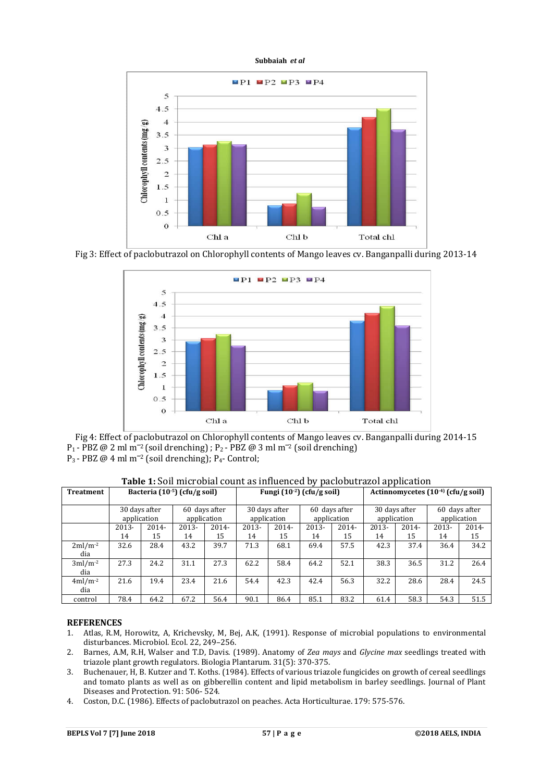

Fig 3: Effect of paclobutrazol on Chlorophyll contents of Mango leaves cv. Banganpalli during 2013-14



Fig 4: Effect of paclobutrazol on Chlorophyll contents of Mango leaves cv. Banganpalli during 2014-15 P<sub>1</sub> - PBZ @ 2 ml m<sup>-2</sup> (soil drenching) ; P<sub>2</sub> - PBZ @ 3 ml m<sup>-2</sup> (soil drenching) P<sub>3</sub> - PBZ  $@$  4 ml m<sup>-2</sup> (soil drenching); P<sub>4</sub> - Control;

| <b>Treatment</b> | Bacteria (10-5) (cfu/g soil) |       |                              |          | Fungi (10 <sup>-2</sup> ) (cfu/g soil) |          |                              |          | Actinnomycetes (10 <sup>-4)</sup> (cfu/g soil) |          |                              |       |
|------------------|------------------------------|-------|------------------------------|----------|----------------------------------------|----------|------------------------------|----------|------------------------------------------------|----------|------------------------------|-------|
|                  | 30 days after<br>application |       | 60 days after<br>application |          | 30 days after<br>application           |          | 60 days after<br>application |          | 30 days after<br>application                   |          | 60 days after<br>application |       |
|                  | 2013-                        | 2014- | 2013-                        | $2014 -$ | $2013 -$                               | $2014 -$ | 2013-                        | $2014 -$ | 2013-                                          | $2014 -$ | 2013-                        | 2014- |
|                  | 14                           | 15    | 14                           | 15       | 14                                     | 15       | 14                           | 15       | 14                                             | 15       | 14                           | 15    |
| $2ml/m-2$<br>dia | 32.6                         | 28.4  | 43.2                         | 39.7     | 71.3                                   | 68.1     | 69.4                         | 57.5     | 42.3                                           | 37.4     | 36.4                         | 34.2  |
| $3ml/m-2$<br>dia | 27.3                         | 24.2  | 31.1                         | 27.3     | 62.2                                   | 58.4     | 64.2                         | 52.1     | 38.3                                           | 36.5     | 31.2                         | 26.4  |
| $4ml/m-2$<br>dia | 21.6                         | 19.4  | 23.4                         | 21.6     | 54.4                                   | 42.3     | 42.4                         | 56.3     | 32.2                                           | 28.6     | 28.4                         | 24.5  |
| control          | 78.4                         | 64.2  | 67.2                         | 56.4     | 90.1                                   | 86.4     | 85.1                         | 83.2     | 61.4                                           | 58.3     | 54.3                         | 51.5  |

**Table 1:** Soil microbial count as influenced by paclobutrazol application

### **REFERENCES**

- 1. Atlas, R.M, Horowitz, A, Krichevsky, M, Bej, A.K, (1991). Response of microbial populations to environmental disturbances. Microbiol. Ecol. 22, 249–256.
- 2. Barnes, A.M, R.H, Walser and T.D, Davis. (1989). Anatomy of *Zea mays* and *Glycine max* seedlings treated with triazole plant growth regulators. Biologia Plantarum. 31(5): 370-375.
- 3. Buchenauer, H, B. Kutzer and T. Koths. (1984). Effects of various triazole fungicides on growth of cereal seedlings and tomato plants as well as on gibberellin content and lipid metabolism in barley seedlings. Journal of Plant Diseases and Protection. 91: 506- 524.
- 4. Coston, D.C. (1986). Effects of paclobutrazol on peaches. Acta Horticulturae. 179: 575-576.